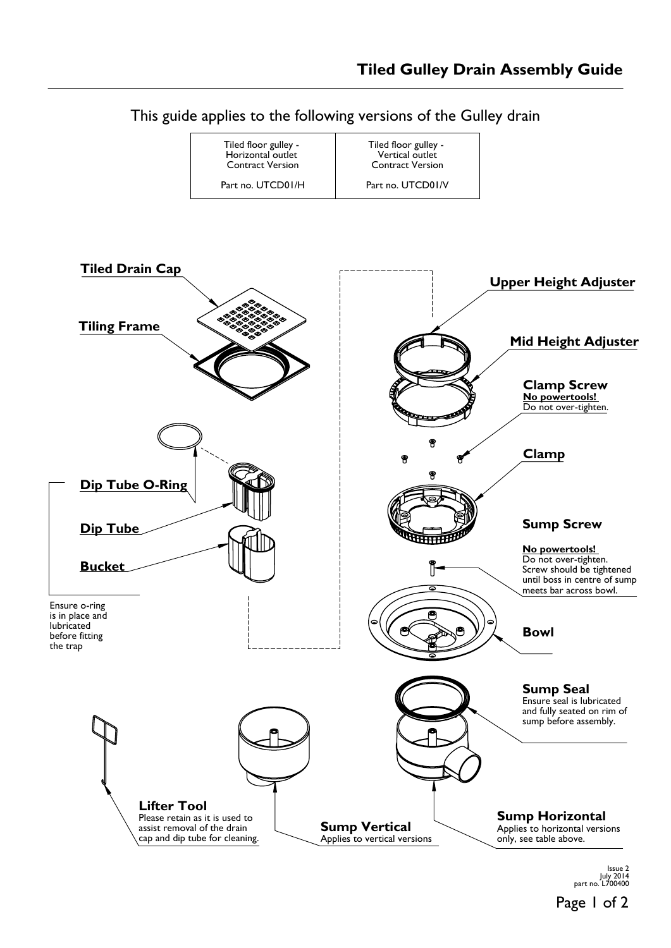

Page 1 of 2